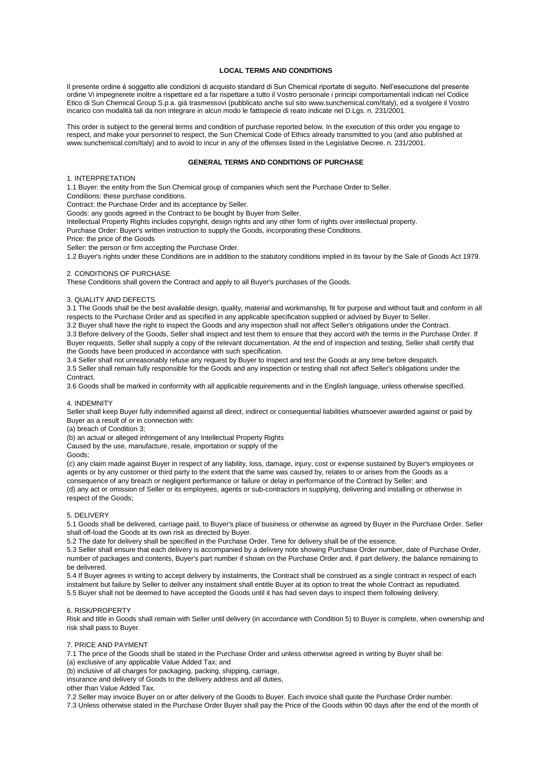## **LOCAL TERMS AND CONDITIONS**

Il presente ordine è soggetto alle condizioni di acquisto standard di Sun Chemical riportate di seguito. Nell'esecuzione del presente ordine Vi impegnerete inoltre a rispettare ed a far rispettare a tutto il Vostro personale i principi comportamentali indicati nel Codice Etico di Sun Chemical Group S.p.a. già trasmessovi (pubblicato anche sul sito www.sunchemical.com/Italy), ed a svolgere il Vostro incarico con modalità tali da non integrare in alcun modo le fattispecie di reato indicate nel D.Lgs. n. 231/2001.

This order is subject to the general terms and condition of purchase reported below. In the execution of this order you engage to respect, and make your personnel to respect, the Sun Chemical Code of Ethics already transmitted to you (and also published at www.sunchemical.com/Italy) and to avoid to incur in any of the offenses listed in the Legislative Decree. n. 231/2001.

## **GENERAL TERMS AND CONDITIONS OF PURCHASE**

1. INTERPRETATION

1.1 Buyer: the entity from the Sun Chemical group of companies which sent the Purchase Order to Seller.

Conditions: these purchase conditions.

Contract: the Purchase Order and its acceptance by Seller.

Goods: any goods agreed in the Contract to be bought by Buyer from Seller.

Intellectual Property Rights includes copyright, design rights and any other form of rights over intellectual property.

Purchase Order: Buyer's written instruction to supply the Goods, incorporating these Conditions.

Price: the price of the Goods

Seller: the person or firm accepting the Purchase Order.

1.2 Buyer's rights under these Conditions are in addition to the statutory conditions implied in its favour by the Sale of Goods Act 1979.

#### 2. CONDITIONS OF PURCHASE

These Conditions shall govern the Contract and apply to all Buyer's purchases of the Goods.

### 3. QUALITY AND DEFECTS

3.1 The Goods shall be the best available design, quality, material and workmanship, fit for purpose and without fault and conform in all respects to the Purchase Order and as specified in any applicable specification supplied or advised by Buyer to Seller.

3.2 Buyer shall have the right to inspect the Goods and any inspection shall not affect Seller's obligations under the Contract. 3.3 Before delivery of the Goods, Seller shall inspect and test them to ensure that they accord with the terms in the Purchase Order. If Buyer requests, Seller shall supply a copy of the relevant documentation. At the end of inspection and testing, Seller shall certify that the Goods have been produced in accordance with such specification.

3.4 Seller shall not unreasonably refuse any request by Buyer to inspect and test the Goods at any time before despatch.

3.5 Seller shall remain fully responsible for the Goods and any inspection or testing shall not affect Seller's obligations under the Contract.

3.6 Goods shall be marked in conformity with all applicable requirements and in the English language, unless otherwise specified.

# 4. INDEMNITY

Seller shall keep Buyer fully indemnified against all direct, indirect or consequential liabilities whatsoever awarded against or paid by Buyer as a result of or in connection with:

(a) breach of Condition 3;

(b) an actual or alleged infringement of any Intellectual Property Rights

Caused by the use, manufacture, resale, importation or supply of the

#### Goods;

(c) any claim made against Buyer in respect of any liability, loss, damage, injury, cost or expense sustained by Buyer's employees or agents or by any customer or third party to the extent that the same was caused by, relates to or arises from the Goods as a consequence of any breach or negligent performance or failure or delay in performance of the Contract by Seller; and (d) any act or omission of Seller or its employees, agents or sub-contractors in supplying, delivering and installing or otherwise in respect of the Goods;

### 5. DELIVERY

5.1 Goods shall be delivered, carriage paid, to Buyer's place of business or otherwise as agreed by Buyer in the Purchase Order. Seller shall off-load the Goods at its own risk as directed by Buyer.

5.2 The date for delivery shall be specified in the Purchase Order. Time for delivery shall be of the essence.

5.3 Seller shall ensure that each delivery is accompanied by a delivery note showing Purchase Order number, date of Purchase Order, number of packages and contents, Buyer's part number if shown on the Purchase Order and, if part delivery, the balance remaining to be delivered.

5.4 If Buyer agrees in writing to accept delivery by instalments, the Contract shall be construed as a single contract in respect of each instalment but failure by Seller to deliver any instalment shall entitle Buyer at its option to treat the whole Contract as repudiated. 5.5 Buyer shall not be deemed to have accepted the Goods until it has had seven days to inspect them following delivery.

#### 6. RISK/PROPERTY

Risk and title in Goods shall remain with Seller until delivery (in accordance with Condition 5) to Buyer is complete, when ownership and risk shall pass to Buyer.

#### 7. PRICE AND PAYMENT

7.1 The price of the Goods shall be stated in the Purchase Order and unless otherwise agreed in writing by Buyer shall be: (a) exclusive of any applicable Value Added Tax; and

(b) inclusive of all charges for packaging, packing, shipping, carriage,

insurance and delivery of Goods to the delivery address and all duties,

other than Value Added Tax.

7.2 Seller may invoice Buyer on or after delivery of the Goods to Buyer. Each invoice shall quote the Purchase Order number.

7.3 Unless otherwise stated in the Purchase Order Buyer shall pay the Price of the Goods within 90 days after the end of the month of